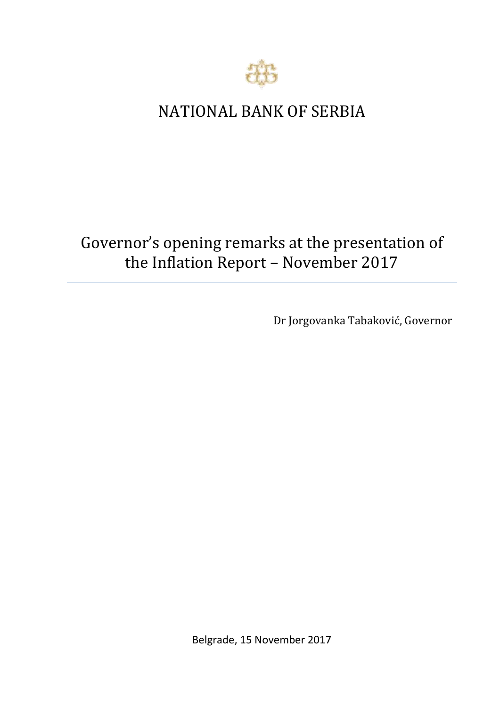

## NATIONAL BANK OF SERBIA

# Governor's opening remarks at the presentation of the Inflation Report – November 2017

Dr Jorgovanka Tabaković, Governor

Belgrade, 15 November 2017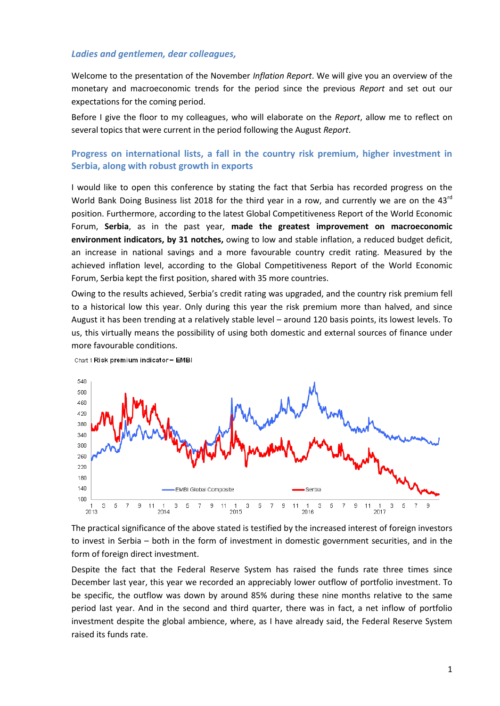#### *Ladies and gentlemen, dear colleagues,*

Welcome to the presentation of the November *Inflation Report*. We will give you an overview of the monetary and macroeconomic trends for the period since the previous *Report* and set out our expectations for the coming period.

Before I give the floor to my colleagues, who will elaborate on the *Report*, allow me to reflect on several topics that were current in the period following the August *Report*.

#### **Progress on international lists, a fall in the country risk premium, higher investment in Serbia, along with robust growth in exports**

I would like to open this conference by stating the fact that Serbia has recorded progress on the World Bank Doing Business list 2018 for the third year in a row, and currently we are on the  $43^{\text{rd}}$ position. Furthermore, according to the latest Global Competitiveness Report of the World Economic Forum, **Serbia**, as in the past year, **made the greatest improvement on macroeconomic environment indicators, by 31 notches,** owing to low and stable inflation, a reduced budget deficit, an increase in national savings and a more favourable country credit rating. Measured by the achieved inflation level, according to the Global Competitiveness Report of the World Economic Forum, Serbia kept the first position, shared with 35 more countries.

Owing to the results achieved, Serbia's credit rating was upgraded, and the country risk premium fell to a historical low this year. Only during this year the risk premium more than halved, and since August it has been trending at a relatively stable level – around 120 basis points, its lowest levels. To us, this virtually means the possibility of using both domestic and external sources of finance under more favourable conditions.





The practical significance of the above stated is testified by the increased interest of foreign investors to invest in Serbia – both in the form of investment in domestic government securities, and in the form of foreign direct investment.

Despite the fact that the Federal Reserve System has raised the funds rate three times since December last year, this year we recorded an appreciably lower outflow of portfolio investment. To be specific, the outflow was down by around 85% during these nine months relative to the same period last year. And in the second and third quarter, there was in fact, a net inflow of portfolio investment despite the global ambience, where, as I have already said, the Federal Reserve System raised its funds rate.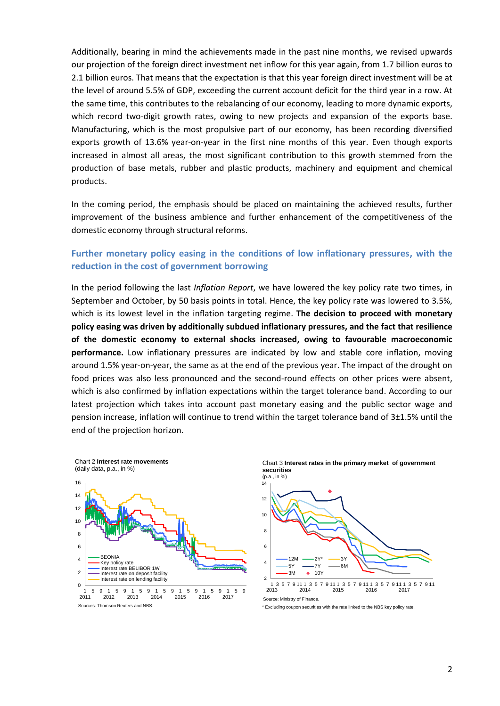Additionally, bearing in mind the achievements made in the past nine months, we revised upwards our projection of the foreign direct investment net inflow for this year again, from 1.7 billion euros to 2.1 billion euros. That means that the expectation is that this year foreign direct investment will be at the level of around 5.5% of GDP, exceeding the current account deficit for the third year in a row. At the same time, this contributes to the rebalancing of our economy, leading to more dynamic exports, which record two-digit growth rates, owing to new projects and expansion of the exports base. Manufacturing, which is the most propulsive part of our economy, has been recording diversified exports growth of 13.6% year-on-year in the first nine months of this year. Even though exports increased in almost all areas, the most significant contribution to this growth stemmed from the production of base metals, rubber and plastic products, machinery and equipment and chemical products.

In the coming period, the emphasis should be placed on maintaining the achieved results, further improvement of the business ambience and further enhancement of the competitiveness of the domestic economy through structural reforms.

#### **Further monetary policy easing in the conditions of low inflationary pressures, with the reduction in the cost of government borrowing**

In the period following the last *Inflation Report*, we have lowered the key policy rate two times, in September and October, by 50 basis points in total. Hence, the key policy rate was lowered to 3.5%, which is its lowest level in the inflation targeting regime. **The decision to proceed with monetary policy easing was driven by additionally subdued inflationary pressures, and the fact that resilience of the domestic economy to external shocks increased, owing to favourable macroeconomic performance.** Low inflationary pressures are indicated by low and stable core inflation, moving around 1.5% year-on-year, the same as at the end of the previous year. The impact of the drought on food prices was also less pronounced and the second-round effects on other prices were absent, which is also confirmed by inflation expectations within the target tolerance band. According to our latest projection which takes into account past monetary easing and the public sector wage and pension increase, inflation will continue to trend within the target tolerance band of 3±1.5% until the end of the projection horizon.



1 2011 2012 2013 2014 2015 2016 2017 Sources: Thomson Reuters and NBS.

Chart 3 **Interest rates in the primary market of government securities**  (p.a., in %)



\* Excluding coupon securities with the rate linked to the NBS key policy rate.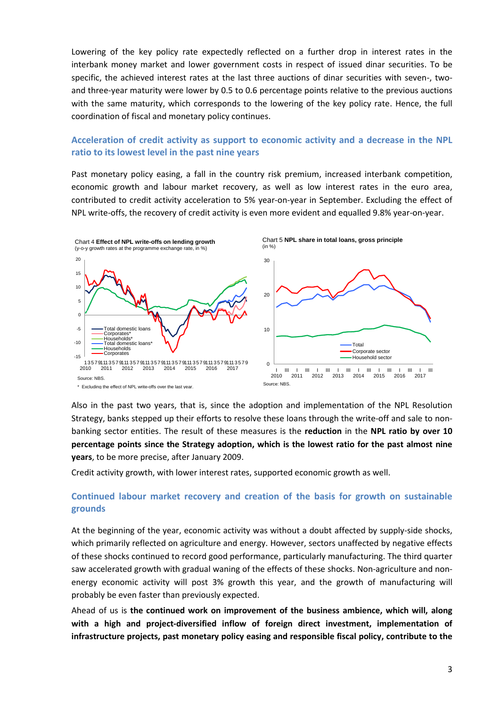Lowering of the key policy rate expectedly reflected on a further drop in interest rates in the interbank money market and lower government costs in respect of issued dinar securities. To be specific, the achieved interest rates at the last three auctions of dinar securities with seven-, twoand three-year maturity were lower by 0.5 to 0.6 percentage points relative to the previous auctions with the same maturity, which corresponds to the lowering of the key policy rate. Hence, the full coordination of fiscal and monetary policy continues.

#### **Acceleration of credit activity as support to economic activity and a decrease in the NPL ratio to its lowest level in the past nine years**

Past monetary policy easing, a fall in the country risk premium, increased interbank competition, economic growth and labour market recovery, as well as low interest rates in the euro area, contributed to credit activity acceleration to 5% year-on-year in September. Excluding the effect of NPL write-offs, the recovery of credit activity is even more evident and equalled 9.8% year-on-year.



Also in the past two years, that is, since the adoption and implementation of the NPL Resolution Strategy, banks stepped up their efforts to resolve these loans through the write-off and sale to nonbanking sector entities. The result of these measures is the **reduction** in the **NPL ratio by over 10 percentage points since the Strategy adoption, which is the lowest ratio for the past almost nine years**, to be more precise, after January 2009.

Credit activity growth, with lower interest rates, supported economic growth as well.

### **Continued labour market recovery and creation of the basis for growth on sustainable grounds**

At the beginning of the year, economic activity was without a doubt affected by supply-side shocks, which primarily reflected on agriculture and energy. However, sectors unaffected by negative effects of these shocks continued to record good performance, particularly manufacturing. The third quarter saw accelerated growth with gradual waning of the effects of these shocks. Non-agriculture and nonenergy economic activity will post 3% growth this year, and the growth of manufacturing will probably be even faster than previously expected.

Ahead of us is **the continued work on improvement of the business ambience, which will, along with a high and project-diversified inflow of foreign direct investment, implementation of infrastructure projects, past monetary policy easing and responsible fiscal policy, contribute to the**